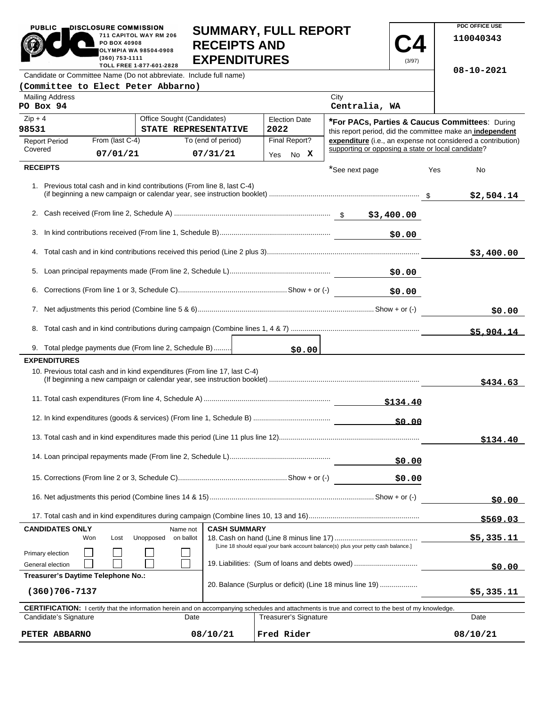|                                                                                                                                                                             | 711 CAPITOL WAY RM 206<br>PO BOX 40908<br><b>RECEIPTS AND</b><br>OLYMPIA WA 98504-0908<br><b>EXPENDITURES</b><br>(360) 753-1111<br>TOLL FREE 1-877-601-2828 |                                                                           |                    |                                                                                                                                                            | (3/97)                                                    |            | 110040343 |                                                              |
|-----------------------------------------------------------------------------------------------------------------------------------------------------------------------------|-------------------------------------------------------------------------------------------------------------------------------------------------------------|---------------------------------------------------------------------------|--------------------|------------------------------------------------------------------------------------------------------------------------------------------------------------|-----------------------------------------------------------|------------|-----------|--------------------------------------------------------------|
|                                                                                                                                                                             |                                                                                                                                                             | Candidate or Committee Name (Do not abbreviate. Include full name)        |                    |                                                                                                                                                            |                                                           |            |           | $08 - 10 - 2021$                                             |
| (Committee to Elect Peter Abbarno)                                                                                                                                          |                                                                                                                                                             |                                                                           |                    |                                                                                                                                                            |                                                           |            |           |                                                              |
| <b>Mailing Address</b><br>PO Box 94                                                                                                                                         |                                                                                                                                                             |                                                                           |                    |                                                                                                                                                            | City<br>Centralia, WA                                     |            |           |                                                              |
| $Zip + 4$                                                                                                                                                                   |                                                                                                                                                             | Office Sought (Candidates)                                                |                    | <b>Election Date</b>                                                                                                                                       | <b>*For PACs, Parties &amp; Caucus Committees: During</b> |            |           |                                                              |
| 98531                                                                                                                                                                       |                                                                                                                                                             | STATE REPRESENTATIVE                                                      |                    | 2022                                                                                                                                                       |                                                           |            |           | this report period, did the committee make an independent    |
| <b>Report Period</b><br>Covered                                                                                                                                             | From (last C-4)                                                                                                                                             |                                                                           | To (end of period) | Final Report?                                                                                                                                              | supporting or opposing a state or local candidate?        |            |           | expenditure (i.e., an expense not considered a contribution) |
|                                                                                                                                                                             | 07/01/21                                                                                                                                                    |                                                                           | 07/31/21           | No X<br>Yes                                                                                                                                                |                                                           |            |           |                                                              |
| <b>RECEIPTS</b>                                                                                                                                                             |                                                                                                                                                             |                                                                           |                    |                                                                                                                                                            | *See next page                                            |            | Yes       | No                                                           |
|                                                                                                                                                                             |                                                                                                                                                             | 1. Previous total cash and in kind contributions (From line 8, last C-4)  |                    |                                                                                                                                                            |                                                           |            |           | \$2,504.14                                                   |
|                                                                                                                                                                             |                                                                                                                                                             |                                                                           |                    |                                                                                                                                                            |                                                           |            |           |                                                              |
| 3.                                                                                                                                                                          |                                                                                                                                                             |                                                                           |                    |                                                                                                                                                            |                                                           | \$0.00     |           |                                                              |
|                                                                                                                                                                             |                                                                                                                                                             |                                                                           |                    |                                                                                                                                                            |                                                           |            |           | \$3,400.00                                                   |
|                                                                                                                                                                             |                                                                                                                                                             |                                                                           |                    |                                                                                                                                                            |                                                           |            |           |                                                              |
| 6.                                                                                                                                                                          |                                                                                                                                                             |                                                                           |                    |                                                                                                                                                            |                                                           | \$0.00     |           |                                                              |
| 7.                                                                                                                                                                          |                                                                                                                                                             |                                                                           |                    |                                                                                                                                                            |                                                           |            |           | \$0.00                                                       |
|                                                                                                                                                                             |                                                                                                                                                             |                                                                           |                    |                                                                                                                                                            |                                                           |            |           | \$5,904.14                                                   |
|                                                                                                                                                                             |                                                                                                                                                             | 9. Total pledge payments due (From line 2, Schedule B)                    |                    | \$0.00                                                                                                                                                     |                                                           |            |           |                                                              |
| <b>EXPENDITURES</b>                                                                                                                                                         |                                                                                                                                                             |                                                                           |                    |                                                                                                                                                            |                                                           |            |           |                                                              |
|                                                                                                                                                                             |                                                                                                                                                             | 10. Previous total cash and in kind expenditures (From line 17, last C-4) |                    |                                                                                                                                                            |                                                           |            |           | \$434.63                                                     |
|                                                                                                                                                                             |                                                                                                                                                             |                                                                           |                    |                                                                                                                                                            |                                                           | \$134.40   |           |                                                              |
|                                                                                                                                                                             |                                                                                                                                                             |                                                                           |                    |                                                                                                                                                            |                                                           | \$0.00     |           |                                                              |
|                                                                                                                                                                             |                                                                                                                                                             |                                                                           |                    |                                                                                                                                                            |                                                           |            |           | \$134.40                                                     |
|                                                                                                                                                                             |                                                                                                                                                             |                                                                           |                    |                                                                                                                                                            |                                                           | \$0.00     |           |                                                              |
|                                                                                                                                                                             |                                                                                                                                                             |                                                                           |                    |                                                                                                                                                            |                                                           | \$0.00     |           |                                                              |
|                                                                                                                                                                             |                                                                                                                                                             |                                                                           |                    |                                                                                                                                                            |                                                           |            | \$0.00    |                                                              |
|                                                                                                                                                                             |                                                                                                                                                             |                                                                           |                    |                                                                                                                                                            |                                                           |            |           | \$569.03                                                     |
| <b>CANDIDATES ONLY</b><br><b>CASH SUMMARY</b><br>Name not<br>Unopposed<br>on ballot<br>Won<br>Lost                                                                          |                                                                                                                                                             |                                                                           |                    |                                                                                                                                                            |                                                           | \$5,335.11 |           |                                                              |
| [Line 18 should equal your bank account balance(s) plus your petty cash balance.]<br>Primary election<br>19. Liabilities: (Sum of loans and debts owed)<br>General election |                                                                                                                                                             |                                                                           |                    |                                                                                                                                                            |                                                           | \$0.00     |           |                                                              |
| Treasurer's Daytime Telephone No.:                                                                                                                                          |                                                                                                                                                             |                                                                           |                    |                                                                                                                                                            |                                                           |            |           |                                                              |
| 20. Balance (Surplus or deficit) (Line 18 minus line 19)<br>$(360)706 - 7137$                                                                                               |                                                                                                                                                             |                                                                           |                    |                                                                                                                                                            |                                                           | \$5,335.11 |           |                                                              |
|                                                                                                                                                                             |                                                                                                                                                             |                                                                           |                    | <b>CERTIFICATION:</b> I certify that the information herein and on accompanying schedules and attachments is true and correct to the best of my knowledge. |                                                           |            |           |                                                              |
| Candidate's Signature<br><b>Treasurer's Signature</b><br>Date                                                                                                               |                                                                                                                                                             |                                                                           |                    |                                                                                                                                                            |                                                           |            | Date      |                                                              |
| 08/10/21<br>PETER ABBARNO                                                                                                                                                   |                                                                                                                                                             |                                                                           | Fred Rider         |                                                                                                                                                            |                                                           |            | 08/10/21  |                                                              |

**SUMMARY, FULL REPORT** 

**C4**

 $\overline{\phantom{a}}$ 

**PDC OFFICE USE** 

PUBLIC **DISCLOSURE COMMISSION** 

 $\blacksquare$ 

×

**711 CAPITOL WAY RM 206**